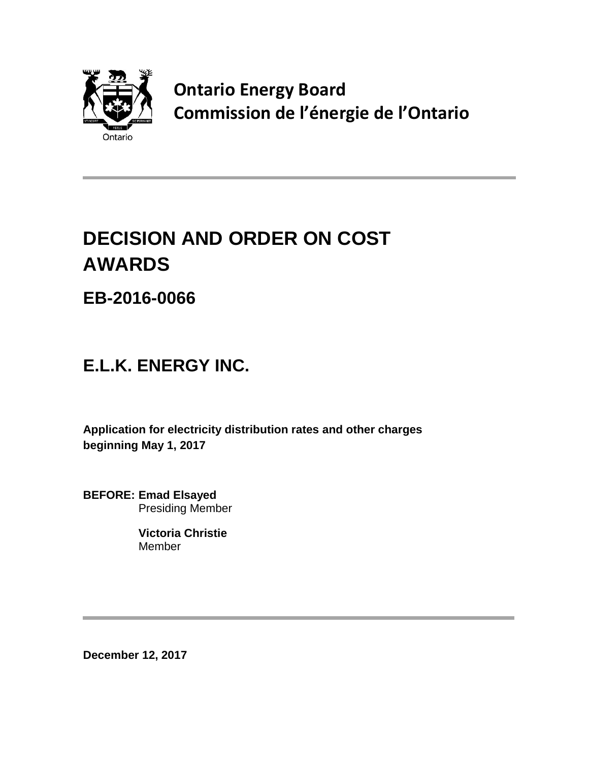

**Ontario Energy Board Commission de l'énergie de l'Ontario**

# **DECISION AND ORDER ON COST AWARDS**

**EB-2016-0066**

## **E.L.K. ENERGY INC.**

**Application for electricity distribution rates and other charges beginning May 1, 2017**

**BEFORE: Emad Elsayed** Presiding Member

> **Victoria Christie** Member

**December 12, 2017**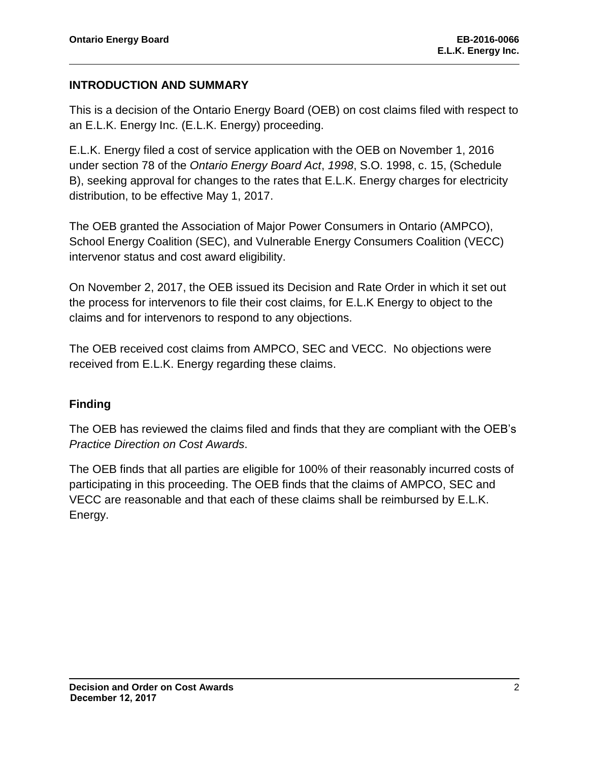#### **INTRODUCTION AND SUMMARY**

This is a decision of the Ontario Energy Board (OEB) on cost claims filed with respect to an E.L.K. Energy Inc. (E.L.K. Energy) proceeding.

E.L.K. Energy filed a cost of service application with the OEB on November 1, 2016 under section 78 of the *Ontario Energy Board Act*, *1998*, S.O. 1998, c. 15, (Schedule B), seeking approval for changes to the rates that E.L.K. Energy charges for electricity distribution, to be effective May 1, 2017.

The OEB granted the Association of Major Power Consumers in Ontario (AMPCO), School Energy Coalition (SEC), and Vulnerable Energy Consumers Coalition (VECC) intervenor status and cost award eligibility.

On November 2, 2017, the OEB issued its Decision and Rate Order in which it set out the process for intervenors to file their cost claims, for E.L.K Energy to object to the claims and for intervenors to respond to any objections.

The OEB received cost claims from AMPCO, SEC and VECC. No objections were received from E.L.K. Energy regarding these claims.

#### **Finding**

The OEB has reviewed the claims filed and finds that they are compliant with the OEB's *Practice Direction on Cost Awards*.

The OEB finds that all parties are eligible for 100% of their reasonably incurred costs of participating in this proceeding. The OEB finds that the claims of AMPCO, SEC and VECC are reasonable and that each of these claims shall be reimbursed by E.L.K. Energy.